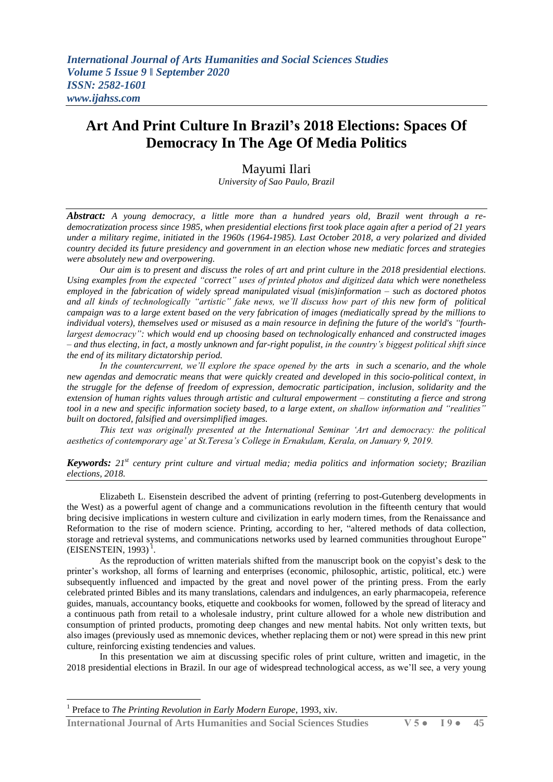## **Art And Print Culture In Brazil's 2018 Elections: Spaces Of Democracy In The Age Of Media Politics**

## Mayumi Ilari

*University of Sao Paulo, Brazil*

*Abstract: A young democracy, a little more than a hundred years old, Brazil went through a redemocratization process since 1985, when presidential elections first took place again after a period of 21 years under a military regime, initiated in the 1960s (1964-1985). Last October 2018, a very polarized and divided country decided its future presidency and government in an election whose new mediatic forces and strategies were absolutely new and overpowering.*

*Our aim is to present and discuss the roles of art and print culture in the 2018 presidential elections. Using examples from the expected "correct" uses of printed photos and digitized data which were nonetheless employed in the fabrication of widely spread manipulated visual (mis)information – such as doctored photos and all kinds of technologically "artistic" fake news, we"ll discuss how part of this new form of political campaign was to a large extent based on the very fabrication of images (mediatically spread by the millions to individual voters), themselves used or misused as a main resource in defining the future of the world's "fourthlargest democracy": which would end up choosing based on technologically enhanced and constructed images – and thus electing, in fact, a mostly unknown and far-right populist, in the country"s biggest political shift since the end of its military dictatorship period.*

*In the countercurrent, we"ll explore the space opened by the arts in such a scenario, and the whole new agendas and democratic means that were quickly created and developed in this socio-political context, in the struggle for the defense of freedom of expression, democratic participation, inclusion, solidarity and the extension of human rights values through artistic and cultural empowerment – constituting a fierce and strong tool in a new and specific information society based, to a large extent, on shallow information and "realities" built on doctored, falsified and oversimplified images.*

*This text was originally presented at the International Seminar "Art and democracy: the political aesthetics of contemporary age" at St.Teresa"s College in Ernakulam, Kerala, on January 9, 2019.*

*Keywords: 21st century print culture and virtual media; media politics and information society; Brazilian elections, 2018.*

Elizabeth L. Eisenstein described the advent of printing (referring to post-Gutenberg developments in the West) as a powerful agent of change and a communications revolution in the fifteenth century that would bring decisive implications in western culture and civilization in early modern times, from the Renaissance and Reformation to the rise of modern science. Printing, according to her, "altered methods of data collection, storage and retrieval systems, and communications networks used by learned communities throughout Europe"  $(EISENSTEIN, 1993)^{1}$ .

As the reproduction of written materials shifted from the manuscript book on the copyist's desk to the printer's workshop, all forms of learning and enterprises (economic, philosophic, artistic, political, etc.) were subsequently influenced and impacted by the great and novel power of the printing press. From the early celebrated printed Bibles and its many translations, calendars and indulgences, an early pharmacopeia, reference guides, manuals, accountancy books, etiquette and cookbooks for women, followed by the spread of literacy and a continuous path from retail to a wholesale industry, print culture allowed for a whole new distribution and consumption of printed products, promoting deep changes and new mental habits. Not only written texts, but also images (previously used as mnemonic devices, whether replacing them or not) were spread in this new print culture, reinforcing existing tendencies and values.

In this presentation we aim at discussing specific roles of print culture, written and imagetic, in the 2018 presidential elections in Brazil. In our age of widespread technological access, as we'll see, a very young

**.** 

**International Journal of Arts Humanities and Social Sciences Studies V 5 ● I 9 ● 45**

<sup>1</sup> Preface to *The Printing Revolution in Early Modern Europe*, 1993, xiv.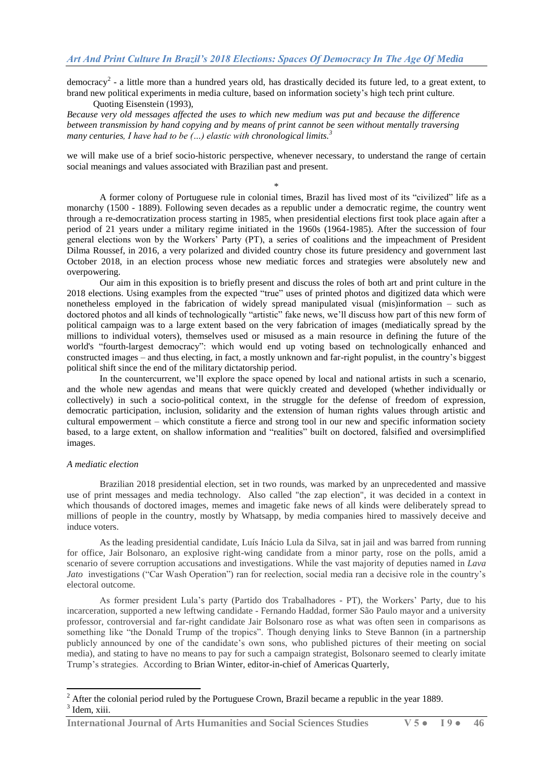democracy<sup>2</sup> - a little more than a hundred years old, has drastically decided its future led, to a great extent, to brand new political experiments in media culture, based on information society's high tech print culture.

Quoting Eisenstein (1993), *Because very old messages affected the uses to which new medium was put and because the difference between transmission by hand copying and by means of print cannot be seen without mentally traversing many centuries, I have had to be (…) elastic with chronological limits. 3*

we will make use of a brief socio-historic perspective, whenever necessary, to understand the range of certain social meanings and values associated with Brazilian past and present.

\* A former colony of Portuguese rule in colonial times, Brazil has lived most of its "civilized" life as a monarchy (1500 - 1889). Following seven decades as a republic under a democratic regime, the country went through a re-democratization process starting in 1985, when presidential elections first took place again after a period of 21 years under a military regime initiated in the 1960s (1964-1985). After the succession of four general elections won by the Workers' Party (PT), a series of coalitions and the impeachment of President Dilma Roussef, in 2016, a very polarized and divided country chose its future presidency and government last October 2018, in an election process whose new mediatic forces and strategies were absolutely new and overpowering.

Our aim in this exposition is to briefly present and discuss the roles of both art and print culture in the 2018 elections. Using examples from the expected "true" uses of printed photos and digitized data which were nonetheless employed in the fabrication of widely spread manipulated visual (mis)information – such as doctored photos and all kinds of technologically "artistic" fake news, we'll discuss how part of this new form of political campaign was to a large extent based on the very fabrication of images (mediatically spread by the millions to individual voters), themselves used or misused as a main resource in defining the future of the world's "fourth-largest democracy": which would end up voting based on technologically enhanced and constructed images – and thus electing, in fact, a mostly unknown and far-right populist, in the country's biggest political shift since the end of the military dictatorship period.

In the countercurrent, we'll explore the space opened by local and national artists in such a scenario, and the whole new agendas and means that were quickly created and developed (whether individually or collectively) in such a socio-political context, in the struggle for the defense of freedom of expression, democratic participation, inclusion, solidarity and the extension of human rights values through artistic and cultural empowerment – which constitute a fierce and strong tool in our new and specific information society based, to a large extent, on shallow information and "realities" built on doctored, falsified and oversimplified images.

## *A mediatic election*

**.** 

Brazilian 2018 presidential election, set in two rounds, was marked by an unprecedented and massive use of print messages and media technology. Also called "the zap election", it was decided in a context in which thousands of doctored images, memes and imagetic fake news of all kinds were deliberately spread to millions of people in the country, mostly by Whatsapp, by media companies hired to massively deceive and induce voters.

As the leading presidential candidate, Luís Inácio Lula da Silva, sat in jail and was barred from running for office, Jair Bolsonaro, an explosive right-wing candidate from a minor party, rose on the polls, amid a scenario of severe corruption accusations and investigations. While the vast majority of deputies named in *Lava Jato* investigations ("Car Wash Operation") ran for reelection, social media ran a decisive role in the country's electoral outcome.

As former president Lula's party (Partido dos Trabalhadores - PT), the Workers' Party, due to his incarceration, supported a new leftwing candidate - Fernando Haddad, former São Paulo mayor and a university professor, controversial and far-right candidate Jair Bolsonaro rose as what was often seen in comparisons as something like "the Donald Trump of the tropics". Though denying links to Steve Bannon (in a partnership publicly announced by one of the candidate's own sons, who published pictures of their meeting on social media), and stating to have no means to pay for such a campaign strategist, Bolsonaro seemed to clearly imitate Trump's strategies. According to Brian Winter, editor-in-chief of Americas Quarterly,

 $2<sup>2</sup>$  After the colonial period ruled by the Portuguese Crown, Brazil became a republic in the year 1889. <sup>3</sup> Idem, xiii.

**International Journal of Arts Humanities and Social Sciences Studies V 5 ● I 9 ● 46**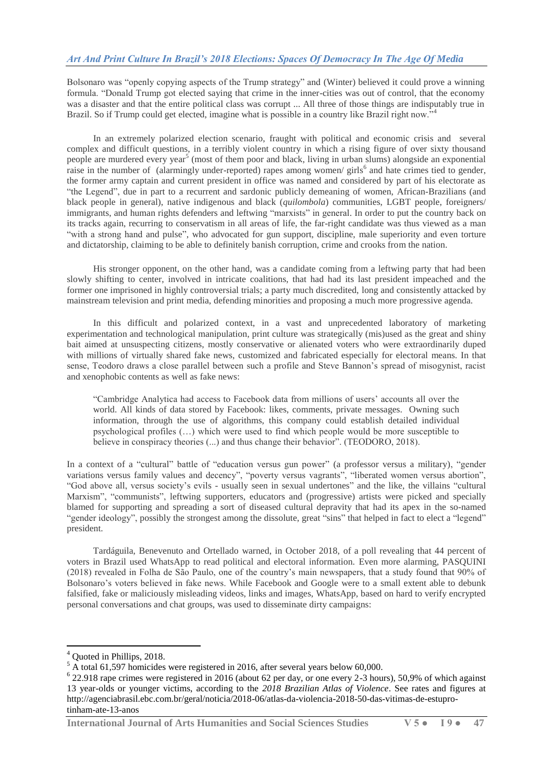Bolsonaro was "openly copying aspects of the Trump strategy" and (Winter) believed it could prove a winning formula. "Donald Trump got elected saying that crime in the inner-cities was out of control, that the economy was a disaster and that the entire political class was corrupt ... All three of those things are indisputably true in Brazil. So if Trump could get elected, imagine what is possible in a country like Brazil right now.

In an extremely polarized election scenario, fraught with political and economic crisis and several complex and difficult questions, in a terribly violent country in which a rising figure of over sixty thousand people are murdered every year<sup>5</sup> (most of them poor and black, living in urban slums) alongside an exponential raise in the number of (alarmingly under-reported) rapes among women/ girls<sup>6</sup> and hate crimes tied to gender, the former army captain and current president in office was named and considered by part of his electorate as ―the Legend‖, due in part to a recurrent and sardonic publicly demeaning of women, African-Brazilians (and black people in general), native indigenous and black (*quilombola*) communities, LGBT people, foreigners/ immigrants, and human rights defenders and leftwing "marxists" in general. In order to put the country back on its tracks again, recurring to conservatism in all areas of life, the far-right candidate was thus viewed as a man "with a strong hand and pulse", who advocated for gun support, discipline, male superiority and even torture and dictatorship, claiming to be able to definitely banish corruption, crime and crooks from the nation.

His stronger opponent, on the other hand, was a candidate coming from a leftwing party that had been slowly shifting to center, involved in intricate coalitions, that had had its last president impeached and the former one imprisoned in highly controversial trials; a party much discredited, long and consistently attacked by mainstream television and print media, defending minorities and proposing a much more progressive agenda.

In this difficult and polarized context, in a vast and unprecedented laboratory of marketing experimentation and technological manipulation, print culture was strategically (mis)used as the great and shiny bait aimed at unsuspecting citizens, mostly conservative or alienated voters who were extraordinarily duped with millions of virtually shared fake news, customized and fabricated especially for electoral means. In that sense, Teodoro draws a close parallel between such a profile and Steve Bannon's spread of misogynist, racist and xenophobic contents as well as fake news:

―Cambridge Analytica had access to Facebook data from millions of users' accounts all over the world. All kinds of data stored by Facebook: likes, comments, private messages. Owning such information, through the use of algorithms, this company could establish detailed individual psychological profiles (…) which were used to find which people would be more susceptible to believe in conspiracy theories (...) and thus change their behavior". (TEODORO, 2018).

In a context of a "cultural" battle of "education versus gun power" (a professor versus a military), "gender variations versus family values and decency", "poverty versus vagrants", "liberated women versus abortion", "God above all, versus society's evils - usually seen in sexual undertones" and the like, the villains "cultural Marxism", "communists", leftwing supporters, educators and (progressive) artists were picked and specially blamed for supporting and spreading a sort of diseased cultural depravity that had its apex in the so-named "gender ideology", possibly the strongest among the dissolute, great "sins" that helped in fact to elect a "legend" president.

Tardáguila, Benevenuto and Ortellado warned, in October 2018, of a poll revealing that 44 percent of voters in Brazil used WhatsApp to read political and electoral information. Even more alarming, PASQUINI (2018) revealed in Folha de São Paulo, one of the country's main newspapers, that a study found that 90% of Bolsonaro's voters believed in fake news. While Facebook and Google were to a small extent able to debunk falsified, fake or maliciously misleading videos, links and images, WhatsApp, based on hard to verify encrypted personal conversations and chat groups, was used to disseminate dirty campaigns:

1

**International Journal of Arts Humanities and Social Sciences Studies V 5 ● I 9 ● 47**

Ouoted in Phillips, 2018.

<sup>&</sup>lt;sup>5</sup> A total 61,597 homicides were registered in 2016, after several years below 60,000.

 $6$  22.918 rape crimes were registered in 2016 (about 62 per day, or one every 2-3 hours), 50,9% of which against 13 year-olds or younger victims, according to the *2018 Brazilian Atlas of Violence*. See rates and figures at http://agenciabrasil.ebc.com.br/geral/noticia/2018-06/atlas-da-violencia-2018-50-das-vitimas-de-estuprotinham-ate-13-anos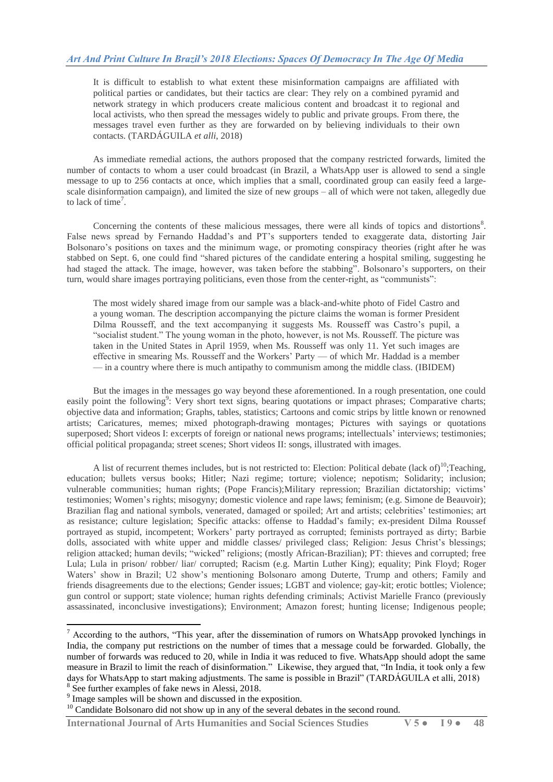It is difficult to establish to what extent these misinformation campaigns are affiliated with political parties or candidates, but their tactics are clear: They rely on a combined pyramid and network strategy in which producers create malicious content and broadcast it to regional and local activists, who then spread the messages widely to public and private groups. From there, the messages travel even further as they are forwarded on by believing individuals to their own contacts. (TARDÁGUILA *et alli*, 2018)

As immediate remedial actions, the authors proposed that the company restricted forwards, limited the number of contacts to whom a user could broadcast (in Brazil, a WhatsApp user is allowed to send a single message to up to 256 contacts at once, which implies that a small, coordinated group can easily feed a largescale disinformation campaign), and limited the size of new groups – all of which were not taken, allegedly due to lack of time<sup>7</sup>.

Concerning the contents of these malicious messages, there were all kinds of topics and distortions $\delta$ . False news spread by Fernando Haddad's and PT's supporters tended to exaggerate data, distorting Jair Bolsonaro's positions on taxes and the minimum wage, or promoting conspiracy theories (right after he was stabbed on Sept. 6, one could find "shared pictures of the candidate entering a hospital smiling, suggesting he had staged the attack. The image, however, was taken before the stabbing". Bolsonaro's supporters, on their turn, would share images portraying politicians, even those from the center-right, as "communists":

The most widely shared image from our sample was a black-and-white photo of Fidel Castro and a young woman. The description accompanying the picture claims the woman is former President Dilma Rousseff, and the text accompanying it suggests Ms. Rousseff was Castro's pupil, a "socialist student." The young woman in the photo, however, is not Ms. Rousseff. The picture was taken in the United States in April 1959, when Ms. Rousseff was only 11. Yet such images are effective in smearing Ms. Rousseff and the Workers' Party — of which Mr. Haddad is a member — in a country where there is much antipathy to communism among the middle class. (IBIDEM)

But the images in the messages go way beyond these aforementioned. In a rough presentation, one could easily point the following<sup>9</sup>: Very short text signs, bearing quotations or impact phrases; Comparative charts; objective data and information; Graphs, tables, statistics; Cartoons and comic strips by little known or renowned artists; Caricatures, memes; mixed photograph-drawing montages; Pictures with sayings or quotations superposed; Short videos I: excerpts of foreign or national news programs; intellectuals' interviews; testimonies; official political propaganda; street scenes; Short videos II: songs, illustrated with images.

A list of recurrent themes includes, but is not restricted to: Election: Political debate (lack of)<sup>10</sup>;Teaching, education; bullets versus books; Hitler; Nazi regime; torture; violence; nepotism; Solidarity; inclusion; vulnerable communities; human rights; (Pope Francis);Military repression; Brazilian dictatorship; victims' testimonies; Women's rights; misogyny; domestic violence and rape laws; feminism; (e.g. Simone de Beauvoir); Brazilian flag and national symbols, venerated, damaged or spoiled; Art and artists; celebrities' testimonies; art as resistance; culture legislation; Specific attacks: offense to Haddad's family; ex-president Dilma Roussef portrayed as stupid, incompetent; Workers' party portrayed as corrupted; feminists portrayed as dirty; Barbie dolls, associated with white upper and middle classes/ privileged class; Religion: Jesus Christ's blessings; religion attacked; human devils; "wicked" religions; (mostly African-Brazilian); PT: thieves and corrupted; free Lula; Lula in prison/ robber/ liar/ corrupted; Racism (e.g. Martin Luther King); equality; Pink Floyd; Roger Waters' show in Brazil; U2 show's mentioning Bolsonaro among Duterte, Trump and others; Family and friends disagreements due to the elections; Gender issues; LGBT and violence; gay-kit; erotic bottles; Violence; gun control or support; state violence; human rights defending criminals; Activist Marielle Franco (previously assassinated, inconclusive investigations); Environment; Amazon forest; hunting license; Indigenous people;

**.** 

**International Journal of Arts Humanities and Social Sciences Studies V 5 ● I 9 ● 48**

 $<sup>7</sup>$  According to the authors, "This year, after the dissemination of rumors on WhatsApp provoked lynchings in</sup> India, the company put restrictions on the number of times that a message could be forwarded. Globally, the number of forwards was reduced to 20, while in India it was reduced to five. WhatsApp should adopt the same measure in Brazil to limit the reach of disinformation." Likewise, they argued that, "In India, it took only a few days for WhatsApp to start making adjustments. The same is possible in Brazil" (TARDÁGUILA et alli, 2018) <sup>8</sup> See further examples of fake news in Alessi, 2018.

<sup>&</sup>lt;sup>9</sup> Image samples will be shown and discussed in the exposition.

<sup>&</sup>lt;sup>10</sup> Candidate Bolsonaro did not show up in any of the several debates in the second round.